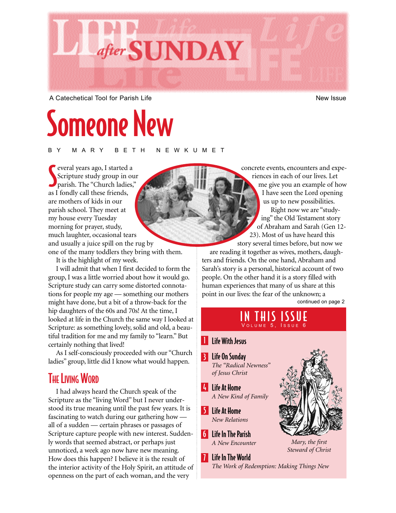

A Catechetical Tool for Parish Life New Issue New Issue

# Someone New

BY MARY BETH NEWKUMET

Several years ago, I started a<br>
Scripture study group in ou<br>
parish. The "Church ladies," Scripture study group in our parish. The "Church ladies," as I fondly call these friends, are mothers of kids in our parish school. They meet at my house every Tuesday morning for prayer, study, much laughter, occasional tears and usually a juice spill on the rug by one of the many toddlers they bring with them.

It is the highlight of my week.

I will admit that when I first decided to form the group, I was a little worried about how it would go. Scripture study can carry some distorted connotations for people my age — something our mothers might have done, but a bit of a throw-back for the hip daughters of the 60s and 70s! At the time, I looked at life in the Church the same way I looked at Scripture: as something lovely, solid and old, a beautiful tradition for me and my family to "learn." But certainly nothing that lived!

As I self-consciously proceeded with our "Church ladies" group, little did I know what would happen.

## **THE LIVING WORD**

I had always heard the Church speak of the Scripture as the "living Word" but I never understood its true meaning until the past few years. It is fascinating to watch during our gathering how all of a sudden — certain phrases or passages of Scripture capture people with new interest. Suddenly words that seemed abstract, or perhaps just unnoticed, a week ago now have new meaning. How does this happen? I believe it is the result of the interior activity of the Holy Spirit, an attitude of openness on the part of each woman, and the very

concrete events, encounters and experiences in each of our lives. Let me give you an example of how I have seen the Lord opening us up to new possibilities. Right now we are "studying" the Old Testament story of Abraham and Sarah (Gen 12- 23). Most of us have heard this story several times before, but now we

are reading it together as wives, mothers, daughters and friends. On the one hand, Abraham and Sarah's story is a personal, historical account of two people. On the other hand it is a story filled with human experiences that many of us share at this point in our lives: the fear of the unknown; a continued on page 2

> IN THIS ISSUE V OLUME 5, ISSUE 6

#### **I** Life With Jesus

- 3 Life On Sunday *The "Radical Newness" of Jesus Christ*
- 4 Life At Home *A New Kind of Family*
- 5 Life At Home *New Relations*
- 6 Life In The Parish *A New Encounter*
- **7** Life In The World *The Work of Redemption: Making Things New*



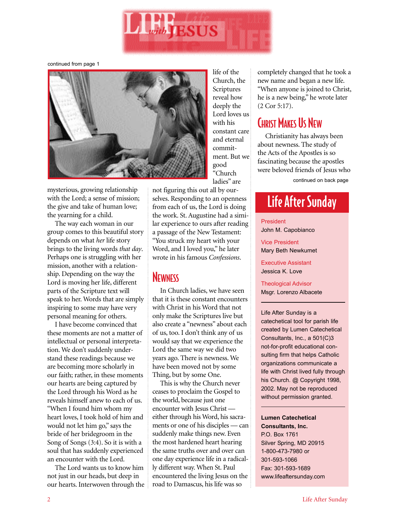

continued from page 1



mysterious, growing relationship with the Lord; a sense of mission; the give and take of human love; the yearning for a child.

The way each woman in our group comes to this beautiful story depends on what *her* life story brings to the living words *that day*. Perhaps one is struggling with her mission, another with a relationship. Depending on the way the Lord is moving her life, different parts of the Scripture text will speak to her. Words that are simply inspiring to some may have very personal meaning for others.

I have become convinced that these moments are not a matter of intellectual or personal interpretation. We don't suddenly understand these readings because we are becoming more scholarly in our faith; rather, in these moments our hearts are being captured by the Lord through his Word as he reveals himself anew to each of us. "When I found him whom my heart loves, I took hold of him and would not let him go," says the bride of her bridegroom in the Song of Songs (3:4). So it is with a soul that has suddenly experienced an encounter with the Lord.

The Lord wants us to know him not just in our heads, but deep in our hearts. Interwoven through the life of the Church, the Scriptures reveal how deeply the Lord loves us with his constant care and eternal commitment. But we good "Church ladies" are

not figuring this out all by ourselves. Responding to an openness from each of us, the Lord is doing the work. St. Augustine had a similar experience to ours after reading a passage of the New Testament: "You struck my heart with your Word, and I loved you," he later wrote in his famous *Confessions*.

### **NEWNESS**

In Church ladies, we have seen that it is these constant encounters with Christ in his Word that not only make the Scriptures live but also create a "newness" about each of us, too. I don't think any of us would say that we experience the Lord the same way we did two years ago. There is newness. We have been moved not by some Thing, but by some One.

This is why the Church never ceases to proclaim the Gospel to the world, because just one encounter with Jesus Christ either through his Word, his sacraments or one of his disciples — can suddenly make things new. Even the most hardened heart hearing the same truths over and over can one day experience life in a radically different way. When St. Paul encountered the living Jesus on the road to Damascus, his life was so

completely changed that he took a new name and began a new life. "When anyone is joined to Christ, he is a new being," he wrote later (2 Cor 5:17).

### CHRIST MAKES US NEW

Christianity has always been about newness. The study of the Acts of the Apostles is so fascinating because the apostles were beloved friends of Jesus who

continued on back page

## Life After Sunday

President John M. Capobianco

Vice President Mary Beth Newkumet

Executive Assistant Jessica K. Love

Theological Advisor Msgr. Lorenzo Albacete

Life After Sunday is a catechetical tool for parish life created by Lumen Catechetical Consultants, Inc., a 501(C)3 not-for-profit educational consulting firm that helps Catholic organizations communicate a life with Christ lived fully through his Church. @ Copyright 1998, 2002. May not be reproduced without permission granted.

**Lumen Catechetical Consultants, Inc.** P.O. Box 1761 Silver Spring, MD 20915 1-800-473-7980 or 301-593-1066 Fax: 301-593-1689 www.lifeaftersunday.com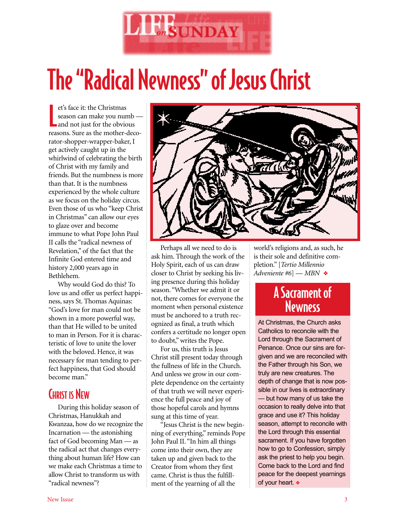

# The "Radical Newness" of Jesus Christ

et's face it: the Christmas<br>season can make you numb<br>and not just for the obvious et's face it: the Christmas season can make you numb reasons. Sure as the mother-decorator-shopper-wrapper-baker, I get actively caught up in the whirlwind of celebrating the birth of Christ with my family and friends. But the numbness is more than that. It is the numbness experienced by the whole culture as we focus on the holiday circus. Even those of us who "keep Christ in Christmas" can allow our eyes to glaze over and become immune to what Pope John Paul II calls the "radical newness of Revelation," of the fact that the Infinite God entered time and history 2,000 years ago in Bethlehem.

Why would God do this? To love us and offer us perfect happiness, says St. Thomas Aquinas: "God's love for man could not be shown in a more powerful way, than that He willed to be united to man in Person. For it is characteristic of love to unite the lover with the beloved. Hence, it was necessary for man tending to perfect happiness, that God should become man."

## CHRIST IS NEW

During this holiday season of Christmas, Hanukkah and Kwanzaa, how do we recognize the Incarnation — the astonishing fact of God becoming Man — as the radical act that changes everything about human life? How can we make each Christmas a time to allow Christ to transform us with "radical newness"?



Perhaps all we need to do is ask him. Through the work of the Holy Spirit, each of us can draw closer to Christ by seeking his living presence during this holiday season. "Whether we admit it or not, there comes for everyone the moment when personal existence must be anchored to a truth recognized as final, a truth which confers a certitude no longer open to doubt," writes the Pope.

For us, this truth is Jesus Christ still present today through the fullness of life in the Church. And unless we grow in our complete dependence on the certainty of that truth we will never experience the full peace and joy of those hopeful carols and hymns sung at this time of year.

"Jesus Christ is the new beginning of everything," reminds Pope John Paul II. "In him all things come into their own, they are taken up and given back to the Creator from whom they first came. Christ is thus the fulfillment of the yearning of all the

world's religions and, as such, he is their sole and definitive completion." [*Tertio Millennio Adveniente #6*] — *MBN* ❖

## A Sacrament of **Newness**

At Christmas, the Church asks Catholics to reconcile with the Lord through the Sacrament of Penance. Once our sins are forgiven and we are reconciled with the Father through his Son, we truly are new creatures. The depth of change that is now possible in our lives is extraordinary — but how many of us take the occasion to really delve into that grace and use it? This holiday season, attempt to reconcile with the Lord through this essential sacrament. If you have forgotten how to go to Confession, simply ask the priest to help you begin. Come back to the Lord and find peace for the deepest yearnings of your heart. ❖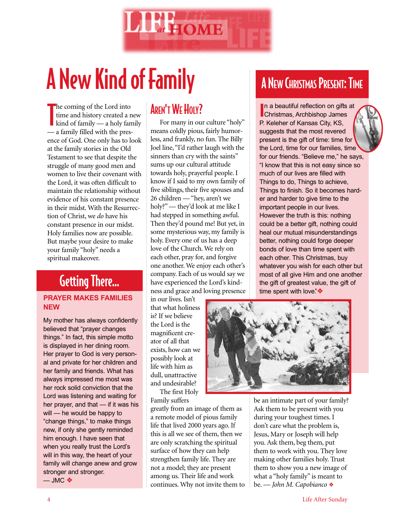

# A New Kind of Family

the coming of the Lord into<br>time and history created a 1<br>kind of family — a holy far<br>the comparation of the comparation of the comparation of the comparation of the comparation of the comparation of the comparation of the time and history created a new kind of family — a holy family — a family filled with the presence of God. One only has to look at the family stories in the Old Testament to see that despite the struggle of many good men and women to live their covenant with the Lord, it was often difficult to maintain the relationship without evidence of his constant presence in their midst. With the Resurrection of Christ, we *do* have his constant presence in our midst. Holy families now are possible. But maybe your desire to make your family "holy" needs a spiritual makeover.

# Getting There…

#### **PRAYER MAKES FAMILIES NEW**

My mother has always confidently believed that "prayer changes things." In fact, this simple motto is displayed in her dining room. Her prayer to God is very personal and private for her children and her family and friends. What has always impressed me most was her rock solid conviction that the Lord was listening and waiting for her prayer, and that — if it was his will — he would be happy to "change things," to make things new, if only she gently reminded him enough. I have seen that when you really trust the Lord's will in this way, the heart of your family will change anew and grow stronger and stronger. — JMC ❖

### **AREN'T WE HOLY?**

For many in our culture "holy" means coldly pious, fairly humorless, and frankly, no fun. The Billy Joel line, "I'd rather laugh with the sinners than cry with the saints" sums up our cultural attitude towards holy, prayerful people. I know if I said to my own family of five siblings, their five spouses and 26 children — "hey, aren't we holy?" — they'd look at me like I had stepped in something awful. Then they'd pound me! But yet, in some mysterious way, my family is holy. Every one of us has a deep love of the Church. We rely on each other, pray for, and forgive one another. We enjoy each other's company. Each of us would say we have experienced the Lord's kindness and grace and loving presence

in our lives. Isn't that what holiness is? If we believe the Lord is the magnificent creator of all that exists, how can we possibly look at life with him as dull, unattractive and undesirable? The first Holy

Family suffers

greatly from an image of them as a remote model of pious family life that lived 2000 years ago. If this is all we see of them, then we are only scratching the spiritual surface of how they can help strengthen family life. They are not a model; they are present among us. Their life and work continues. Why not invite them to

## **A NEW CHRISTMAS PRESENT: TIME**

**I**n a beautiful reflection on gifts<br>Christmas, Archbishop James In a beautiful reflection on gifts at P. Keleher of Kansas City, KS, suggests that the most revered present is the gift of time: time for the Lord, time for our families, time for our friends. "Believe me," he says, "I know that this is not easy since so much of our lives are filled with Things to do, Things to achieve, Things to finish. So it becomes harder and harder to give time to the important people in our lives. However the truth is this: nothing could be a better gift, nothing could heal our mutual misunderstandings better, nothing could forge deeper bonds of love than time spent with each other. This Christmas, buy whatever you wish for each other but most of all give Him and one another the gift of greatest value, the gift of time spent with love"<sup></sup>



be an intimate part of your family? Ask them to be present with you during your toughest times. I don't care what the problem is, Jesus, Mary or Joseph will help you. Ask them, beg them, put them to work with you. They love making other families holy. Trust them to show you a new image of what a "holy family" is meant to be. — *John M. Capobianco* ❖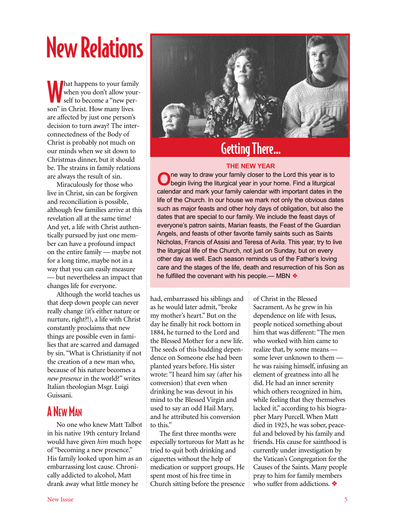# New Relations

**Mathappens to your family when you don't allow you self to become a "new performance"**<br>Son" in Christ. How many lives hat happens to your family when you don't allow yourself to become a "new perare affected by just one person's decision to turn away? The interconnectedness of the Body of Christ is probably not much on our minds when we sit down to Christmas dinner, but it should be. The strains in family relations are always the result of sin.

Miraculously for those who live in Christ, sin can be forgiven and reconciliation is possible, although few families arrive at this revelation all at the same time! And yet, a life with Christ authentically pursued by just one member can have a profound impact on the entire family — maybe not for a long time, maybe not in a way that you can easily measure — but nevertheless an impact that changes life for everyone.

Although the world teaches us that deep down people can never really change (it's either nature or nurture, right?!), a life with Christ constantly proclaims that new things are possible even in families that are scarred and damaged by sin. "What is Christianity if not the creation of a new man who, because of his nature becomes a *new presence* in the world?" writes Italian theologian Msgr. Luigi Guissani.

### A NEW MAN

No one who knew Matt Talbot in his native 19th century Ireland would have given *him* much hope of "becoming a new presence." His family looked upon him as an embarrassing lost cause. Chronically addicted to alcohol, Matt drank away what little money he



## Getting There…

#### **THE NEW YEAR**

**O**ne way to draw your family closer to the Lord this year is to begin living the liturgical year in your home. Find a liturgical calendar and mark your family calendar with important dates in the life of the Church. In our house we mark not only the obvious dates such as major feasts and other holy days of obligation, but also the dates that are special to our family. We include the feast days of everyone's patron saints, Marian feasts, the Feast of the Guardian Angels, and feasts of other favorite family saints such as Saints Nicholas, Francis of Assisi and Teresa of Avila. This year, try to live the liturgical life of the Church, not just on Sunday, but on every other day as well. Each season reminds us of the Father's loving care and the stages of the life, death and resurrection of his Son as he fulfilled the covenant with his people.— MBN  $\triangle$ 

had, embarrassed his siblings and as he would later admit, "broke my mother's heart." But on the day he finally hit rock bottom in 1884, he turned to the Lord and the Blessed Mother for a new life. The seeds of this budding dependence on Someone else had been planted years before. His sister wrote: "I heard him say (after his conversion) that even when drinking he was devout in his mind to the Blessed Virgin and used to say an odd Hail Mary, and he attributed his conversion to this."

The first three months were especially torturous for Matt as he tried to quit both drinking and cigarettes without the help of medication or support groups. He spent most of his free time in Church sitting before the presence

of Christ in the Blessed Sacrament. As he grew in his dependence on life with Jesus, people noticed something about him that was different: "The men who worked with him came to realize that, by some means some lever unknown to them he was raising himself, infusing an element of greatness into all he did. He had an inner serenity which others recognized in him, while feeling that they themselves lacked it," according to his biographer Mary Purcell. When Matt died in 1925, he was sober, peaceful and beloved by his family and friends. His cause for sainthood is currently under investigation by the Vatican's Congregation for the Causes of the Saints. Many people pray to him for family members who suffer from addictions. ❖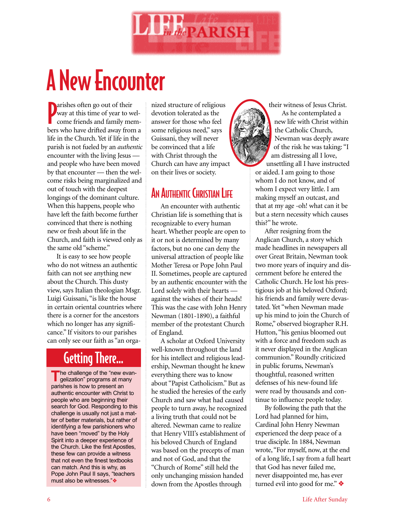

# A New Encounter

**P**arishes often go out of their<br>
way at this time of year to wel-<br>
come friends and family memarishes often go out of their way at this time of year to welbers who have drifted away from a life in the Church. Yet if life in the parish is not fueled by an *authentic* encounter with the living Jesus and people who have been moved by that encounter — then the welcome risks being marginalized and out of touch with the deepest longings of the dominant culture. When this happens, people who have left the faith become further convinced that there is nothing new or fresh about life in the Church, and faith is viewed only as the same old "scheme."

It is easy to see how people who do not witness an authentic faith can not see anything new about the Church. This dusty view, says Italian theologian Msgr. Luigi Guissani, "is like the house in certain oriental countries where there is a corner for the ancestors which no longer has any significance." If visitors to our parishes can only see our faith as "an orga-

## Getting There…

The challenge of the "new evan-<br> **The challenge of the "new evan**gelization" programs at many parishes is how to present an authentic encounter with Christ to people who are beginning their search for God. Responding to this challenge is usually not just a matter of better materials, but rather of identifying a few parishioners who have been "moved" by the Holy Spirit into a deeper experience of the Church. Like the first Apostles, these few can provide a witness that not even the finest textbooks can match. And this is why, as Pope John Paul II says, "teachers must also be witnesses."❖

nized structure of religious devotion tolerated as the answer for those who feel some religious need," says Guissani, they will never be convinced that a life with Christ through the Church can have any impact on their lives or society.

## AN AUTHENTIC CHRISTIAN LIFE

An encounter with authentic Christian life is something that is recognizable to every human heart. Whether people are open to it or not is determined by many factors, but no one can deny the universal attraction of people like Mother Teresa or Pope John Paul II. Sometimes, people are captured by an authentic encounter with the Lord solely with their hearts against the wishes of their heads! This was the case with John Henry Newman (1801-1890), a faithful member of the protestant Church of England.

A scholar at Oxford University well-known throughout the land for his intellect and religious leadership, Newman thought he knew everything there was to know about "Papist Catholicism." But as he studied the heresies of the early Church and saw what had caused people to turn away, he recognized a living truth that could not be altered. Newman came to realize that Henry VIII's establishment of his beloved Church of England was based on the precepts of man and not of God, and that the "Church of Rome" still held the only unchanging mission handed down from the Apostles through

their witness of Jesus Christ. As he contemplated a new life with Christ within the Catholic Church, Newman was deeply aware of the risk he was taking: "I am distressing all I love, unsettling all I have instructed or aided. I am going to those whom I do not know, and of whom I expect very little. I am making myself an outcast, and that at my age -oh! what can it be but a stern necessity which causes this?" he wrote.

After resigning from the Anglican Church, a story which made headlines in newspapers all over Great Britain, Newman took two more years of inquiry and discernment before he entered the Catholic Church. He lost his prestigious job at his beloved Oxford; his friends and family were devastated. Yet "when Newman made up his mind to join the Church of Rome," observed biographer R.H. Hutton, "his genius bloomed out with a force and freedom such as it never displayed in the Anglican communion." Roundly criticized in public forums, Newman's thoughtful, reasoned written defenses of his new-found life were read by thousands and continue to influence people today.

By following the path that the Lord had planned for him, Cardinal John Henry Newman experienced the deep peace of a true disciple. In 1884, Newman wrote, "For myself, now, at the end of a long life, I say from a full heart that God has never failed me, never disappointed me, has ever turned evil into good for me." ❖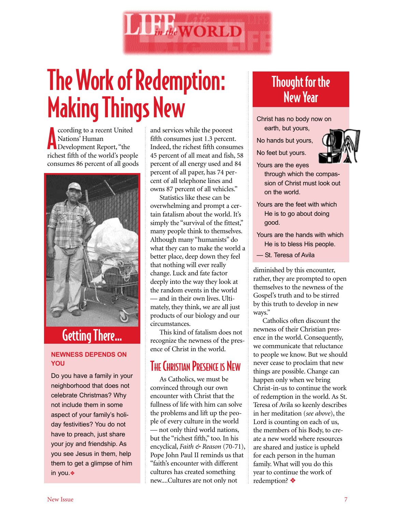

# The Work of Redemption: Making Things New

Cording to a recent United<br>Nations' Human<br>Development Report, "the ccording to a recent United Nations' Human richest fifth of the world's people consumes 86 percent of all goods



# Getting There…

#### **NEWNESS DEPENDS ON YOU**

Do you have a family in your neighborhood that does not celebrate Christmas? Why not include them in some aspect of your family's holiday festivities? You do not have to preach, just share your joy and friendship. As you see Jesus in them, help them to get a glimpse of him in you.❖

and services while the poorest fifth consumes just 1.3 percent. Indeed, the richest fifth consumes 45 percent of all meat and fish, 58 percent of all energy used and 84 percent of all paper, has 74 percent of all telephone lines and owns 87 percent of all vehicles."

Statistics like these can be overwhelming and prompt a certain fatalism about the world. It's simply the "survival of the fittest," many people think to themselves. Although many "humanists" do what they can to make the world a better place, deep down they feel that nothing will ever really change. Luck and fate factor deeply into the way they look at the random events in the world — and in their own lives. Ulti-

mately, they think, we are all just products of our biology and our circumstances.

This kind of fatalism does not recognize the newness of the presence of Christ in the world.

## **THE CHRISTIAN PRESENCE IS NEW**

As Catholics, we must be convinced through our own encounter with Christ that the fullness of life with him can solve the problems and lift up the people of every culture in the world — not only third world nations, but the "richest fifth," too. In his encyclical, *Faith & Reason* (70-71), Pope John Paul II reminds us that "faith's encounter with different cultures has created something new....Cultures are not only not

## Thought for the New Year

Christ has no body now on earth, but yours,

- No hands but yours,
- No feet but yours.



Yours are the eyes through which the compassion of Christ must look out on the world.

- Yours are the feet with which He is to go about doing good.
- Yours are the hands with which He is to bless His people.
- St. Teresa of Avila

diminished by this encounter, rather, they are prompted to open themselves to the newness of the Gospel's truth and to be stirred by this truth to develop in new ways."

Catholics often discount the newness of their Christian presence in the world. Consequently, we communicate that reluctance to people we know. But we should never cease to proclaim that new things are possible. Change can happen only when we bring Christ-in-us to continue the work of redemption in the world. As St. Teresa of Avila so keenly describes in her meditation (*see above*), the Lord is counting on each of us, the members of his Body, to create a new world where resources are shared and justice is upheld for each person in the human family. What will you do this year to continue the work of redemption? ❖